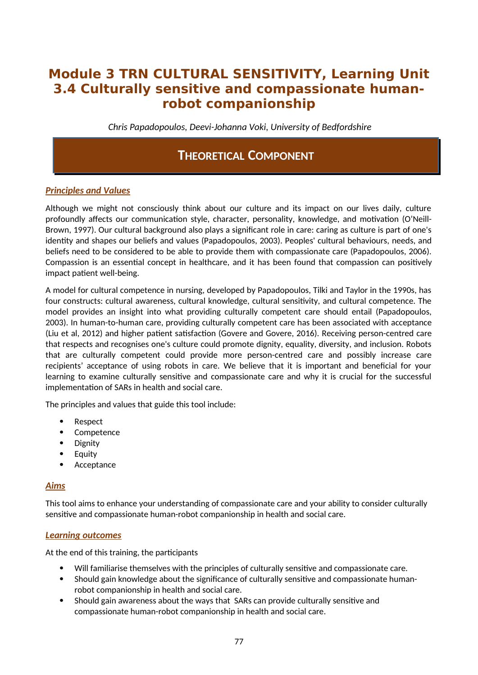# **Module 3 TRN CULTURAL SENSITIVITY, Learning Unit 3.4 Culturally sensitive and compassionate humanrobot companionship**

*Chris Papadopoulos, Deevi-Johanna Voki, University of Bedfordshire*

## **THEORETICAL COMPONENT**

## *Principles and Values*

Although we might not consciously think about our culture and its impact on our lives daily, culture profoundly affects our communication style, character, personality, knowledge, and motivation (O'Neill-Brown, 1997). Our cultural background also plays a significant role in care: caring as culture is part of one's identity and shapes our beliefs and values (Papadopoulos, 2003). Peoples' cultural behaviours, needs, and beliefs need to be considered to be able to provide them with compassionate care (Papadopoulos, 2006). Compassion is an essential concept in healthcare, and it has been found that compassion can positively impact patient well-being.

A model for cultural competence in nursing, developed by Papadopoulos, Tilki and Taylor in the 1990s, has four constructs: cultural awareness, cultural knowledge, cultural sensitivity, and cultural competence. The model provides an insight into what providing culturally competent care should entail (Papadopoulos, 2003). In human-to-human care, providing culturally competent care has been associated with acceptance (Liu et al, 2012) and higher patient satisfaction (Govere and Govere, 2016). Receiving person-centred care that respects and recognises one's culture could promote dignity, equality, diversity, and inclusion. Robots that are culturally competent could provide more person-centred care and possibly increase care recipients' acceptance of using robots in care. We believe that it is important and beneficial for your learning to examine culturally sensitive and compassionate care and why it is crucial for the successful implementation of SARs in health and social care.

The principles and values that guide this tool include:

- Respect
- Competence
- Dignity
- Equity
- Acceptance

#### *Aims*

This tool aims to enhance your understanding of compassionate care and your ability to consider culturally sensitive and compassionate human-robot companionship in health and social care.

#### *Learning outcomes*

At the end of this training, the participants

- Will familiarise themselves with the principles of culturally sensitive and compassionate care.
- Should gain knowledge about the significance of culturally sensitive and compassionate humanrobot companionship in health and social care.
- Should gain awareness about the ways that SARs can provide culturally sensitive and compassionate human-robot companionship in health and social care.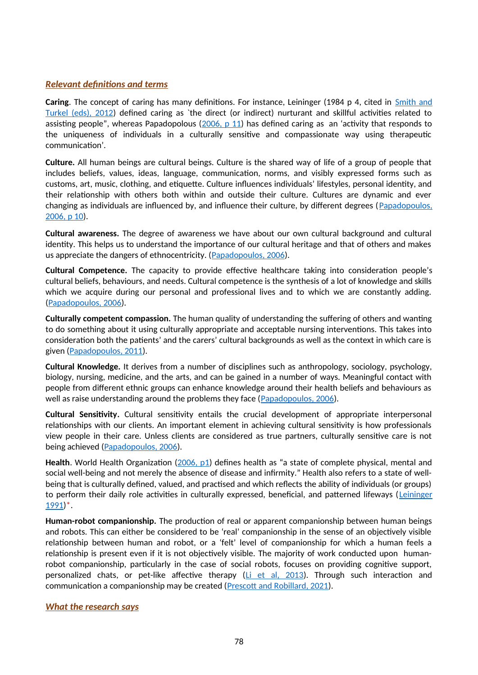### *Relevant definitions and terms*

**Caring**. The concept of caring has many definitions. For instance, Leininger (1984 p 4, cited in [Smith and](https://connect.springerpub.com/content/book/978-0-8261-7112-2/part/part02/chapter/ch01) [Turkel \(eds\), 2012](https://connect.springerpub.com/content/book/978-0-8261-7112-2/part/part02/chapter/ch01)) defined caring as `the direct (or indirect) nurturant and skillful activities related to assisting people", whereas Papadopolous (2006,  $p 11$ ) has defined caring as an 'activity that responds to the uniqueness of individuals in a culturally sensitive and compassionate way using therapeutic communication'.

**Culture.** All human beings are cultural beings. Culture is the shared way of life of a group of people that includes beliefs, values, ideas, language, communication, norms, and visibly expressed forms such as customs, art, music, clothing, and etiquette. Culture influences individuals' lifestyles, personal identity, and their relationship with others both within and outside their culture. Cultures are dynamic and ever changing as individuals are influenced by, and influence their culture, by different degrees ([Papadopoulos,](https://www.researchgate.net/publication/285849542_The_Papadopoulos_Tilki_and_Taylor_model_for_the_development_of_cultural_competence_in_nursing) [2006, p 10\)](https://www.researchgate.net/publication/285849542_The_Papadopoulos_Tilki_and_Taylor_model_for_the_development_of_cultural_competence_in_nursing).

**Cultural awareness.** The degree of awareness we have about our own cultural background and cultural identity. This helps us to understand the importance of our cultural heritage and that of others and makes us appreciate the dangers of ethnocentricity. ([Papadopoulos, 2006\)](https://books.google.co.uk/books?id=sipVCwAAQBAJ&printsec=frontcover&hl=et#v=onepage&q=compass&f=false).

**Cultural Competence.** The capacity to provide effective healthcare taking into consideration people's cultural beliefs, behaviours, and needs. Cultural competence is the synthesis of a lot of knowledge and skills which we acquire during our personal and professional lives and to which we are constantly adding. [\(Papadopoulos, 2006](https://books.google.co.uk/books?id=sipVCwAAQBAJ&printsec=frontcover&hl=et#v=onepage&q=compass&f=false)).

**Culturally competent compassion.** The human quality of understanding the suffering of others and wanting to do something about it using culturally appropriate and acceptable nursing interventions. This takes into consideration both the patients' and the carers' cultural backgrounds as well as the context in which care is given [\(Papadopoulos, 2011\)](https://www.researchgate.net/publication/303885059_Courage_Compassion_and_Cultural_Competence_The_Anna_Reynvaan_Lecture_2011?_iepl%5BgeneralViewId%5D=yhV21bGZnkjrK3PdAUFayhWJxbdyCA5u151W&_iepl%5Bcontexts%5D%5B0%5D=searchReact&_iepl%5BviewId%5D=w1qPR81SRTbBSJYMoXa3g4iPMlqOXLBJCVWj&_iepl%5BsearchType%5D=publication&_iepl%5Bdata%5D%5BcountLessEqual20%5D=1&_iepl%5Bdata%5D%5BinteractedWithPosition1%5D=1&_iepl%5Bdata%5D%5BwithoutEnrichment%5D=1&_iepl%5Bposition%5D=1&_iepl%5BrgKey%5D=PB%3A303885059&_iepl%5BtargetEntityId%5D=PB%3A303885059&_iepl%5BinteractionType%5D=publicationTitle).

**Cultural Knowledge.** It derives from a number of disciplines such as anthropology, sociology, psychology, biology, nursing, medicine, and the arts, and can be gained in a number of ways. Meaningful contact with people from different ethnic groups can enhance knowledge around their health beliefs and behaviours as well as raise understanding around the problems they face ([Papadopoulos, 2006](https://www.researchgate.net/publication/285849542_The_Papadopoulos_Tilki_and_Taylor_model_for_the_development_of_cultural_competence_in_nursing)).

**Cultural Sensitivity.** Cultural sensitivity entails the crucial development of appropriate interpersonal relationships with our clients. An important element in achieving cultural sensitivity is how professionals view people in their care. Unless clients are considered as true partners, culturally sensitive care is not being achieved ([Papadopoulos, 2006\)](https://books.google.co.uk/books?id=sipVCwAAQBAJ&printsec=frontcover&hl=et#v=onepage&q=compass&f=false).

Health. World Health Organization ([2006, p1\)](https://apps.who.int/iris/handle/10665/151605) defines health as "a state of complete physical, mental and social well-being and not merely the absence of disease and infirmity." Health also refers to a state of wellbeing that is culturally defined, valued, and practised and which reflects the ability of individuals (or groups) to perform their daily role activities in culturally expressed, beneficial, and patterned lifeways ([Leininger](https://repository.library.georgetown.edu/handle/10822/842905) [1991](https://repository.library.georgetown.edu/handle/10822/842905))\*.

**Human-robot companionship.** The production of real or apparent companionship between human beings and robots. This can either be considered to be 'real' companionship in the sense of an objectively visible relationship between human and robot, or a 'felt' level of companionship for which a human feels a relationship is present even if it is not objectively visible. The majority of work conducted upon humanrobot companionship, particularly in the case of social robots, focuses on providing cognitive support, personalized chats, or pet-like affective therapy ([Li et al, 2013](http://sro.sussex.ac.uk/id/eprint/72109/1/Position%20Paper-ICSR.pdf)). Through such interaction and communication a companionship may be created ([Prescott and Robillard, 2021](https://www.researchgate.net/publication/348062593_Are_Friends_Electric_The_Benefits_and_Risks_of_Human-Robot_Relationships)).

#### *What the research says*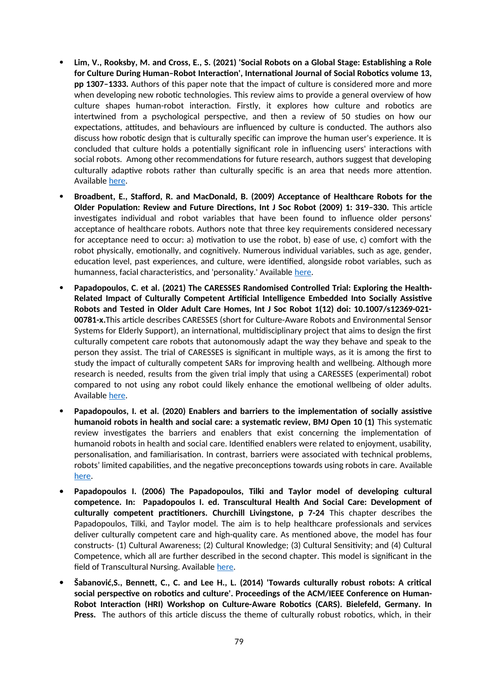- **Lim, V., Rooksby, M. and Cross, E., S. (2021) 'Social Robots on a Global Stage: Establishing a Role for Culture During Human–Robot Interaction', International Journal of Social Robotics volume 13, pp 1307–1333.** Authors of this paper note that the impact of culture is considered more and more when developing new robotic technologies. This review aims to provide a general overview of how culture shapes human-robot interaction. Firstly, it explores how culture and robotics are intertwined from a psychological perspective, and then a review of 50 studies on how our expectations, attitudes, and behaviours are influenced by culture is conducted. The authors also discuss how robotic design that is culturally specific can improve the human user's experience. It is concluded that culture holds a potentially significant role in influencing users' interactions with social robots. Among other recommendations for future research, authors suggest that developing culturally adaptive robots rather than culturally specific is an area that needs more attention. Available [here](https://www.researchgate.net/publication/346520706_Social_Robots_on_a_Global_Stage_Establishing_a_Role_for_Culture_During_Human-Robot_Interaction).
- **Broadbent, E., Stafford, R. and MacDonald, B. (2009) Acceptance of Healthcare Robots for the Older Population: Review and Future Directions, Int J Soc Robot (2009) 1: 319–330.** This article investigates individual and robot variables that have been found to influence older persons' acceptance of healthcare robots. Authors note that three key requirements considered necessary for acceptance need to occur: a) motivation to use the robot, b) ease of use, c) comfort with the robot physically, emotionally, and cognitively. Numerous individual variables, such as age, gender, education level, past experiences, and culture, were identified, alongside robot variables, such as humanness, facial characteristics, and 'personality.' Available [here.](https://www.academia.edu/13039584/Acceptance_of_Healthcare_Robots_for_the_Older_Population_Review_and_Future_Directions)
- **Papadopoulos, C. et al. (2021) The CARESSES Randomised Controlled Trial: Exploring the Health-Related Impact of Culturally Competent Artificial Intelligence Embedded Into Socially Assistive Robots and Tested in Older Adult Care Homes, Int J Soc Robot 1(12) doi: 10.1007/s12369-021- 00781-x.**This article describes CARESSES (short for Culture-Aware Robots and Environmental Sensor Systems for Elderly Support), an international, multidisciplinary project that aims to design the first culturally competent care robots that autonomously adapt the way they behave and speak to the person they assist. The trial of CARESSES is significant in multiple ways, as it is among the first to study the impact of culturally competent SARs for improving health and wellbeing. Although more research is needed, results from the given trial imply that using a CARESSES (experimental) robot compared to not using any robot could likely enhance the emotional wellbeing of older adults. Available [here](https://pubmed.ncbi.nlm.nih.gov/33907589/).
- **Papadopoulos, I. et al. (2020) Enablers and barriers to the implementation of socially assistive humanoid robots in health and social care: a systematic review, BMJ Open 10 (1)** This systematic review investigates the barriers and enablers that exist concerning the implementation of humanoid robots in health and social care. Identified enablers were related to enjoyment, usability, personalisation, and familiarisation. In contrast, barriers were associated with technical problems, robots' limited capabilities, and the negative preconceptions towards using robots in care. Available [here](https://www.researchgate.net/publication/351515427_Enablers_and_barriers_to_the_implementation_of_socially_assistive_humanoid_robots_in_health_and_social_care_a_systematic_review).
- **Papadopoulos I. (2006) The Papadopoulos, Tilki and Taylor model of developing cultural competence. In: Papadopoulos I. ed. Transcultural Health And Social Care: Development of culturally competent practitioners. Churchill Livingstone, p 7-24** This chapter describes the Papadopoulos, Tilki, and Taylor model. The aim is to help healthcare professionals and services deliver culturally competent care and high-quality care. As mentioned above, the model has four constructs- (1) Cultural Awareness; (2) Cultural Knowledge; (3) Cultural Sensitivity; and (4) Cultural Competence, which all are further described in the second chapter. This model is significant in the field of Transcultural Nursing. Available [here.](https://www.researchgate.net/publication/285849542_The_Papadopoulos_Tilki_and_Taylor_model_for_the_development_of_cultural_competence_in_nursing)
- **Šabanović,S., Bennett, C., C. and Lee H., L. (2014) 'Towards culturally robust robots: A critical social perspective on robotics and culture'. Proceedings of the ACM/IEEE Conference on Human-Robot Interaction (HRI) Workshop on Culture-Aware Robotics (CARS). Bielefeld, Germany. In Press.** The authors of this article discuss the theme of culturally robust robotics, which, in their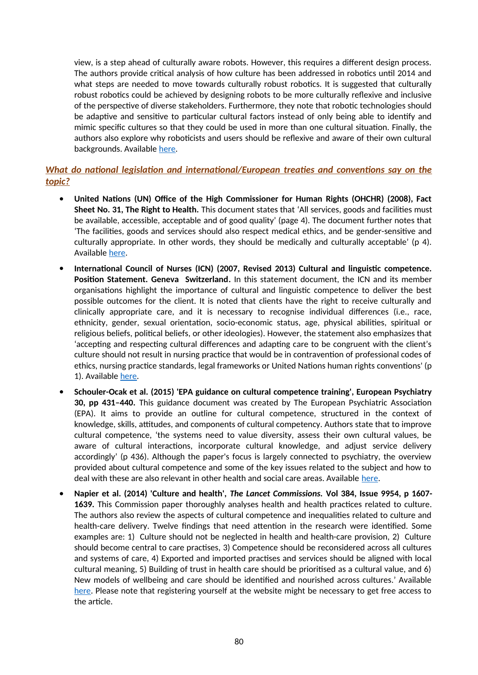view, is a step ahead of culturally aware robots. However, this requires a different design process. The authors provide critical analysis of how culture has been addressed in robotics until 2014 and what steps are needed to move towards culturally robust robotics. It is suggested that culturally robust robotics could be achieved by designing robots to be more culturally reflexive and inclusive of the perspective of diverse stakeholders. Furthermore, they note that robotic technologies should be adaptive and sensitive to particular cultural factors instead of only being able to identify and mimic specific cultures so that they could be used in more than one cultural situation. Finally, the authors also explore why roboticists and users should be reflexive and aware of their own cultural backgrounds. Available [here.](https://homes.luddy.indiana.edu/selmas/SabanovicBennettLee%20-%20HRI14%20-%20Towards%20Culturally%20Robust%20Robotics.pdf)

### *What do national legislation and international/European treaties and conventions say on the topic?*

- **United Nations (UN) Office of the High Commissioner for Human Rights (OHCHR) (2008), Fact Sheet No. 31, The Right to Health.** This document states that 'All services, goods and facilities must be available, accessible, acceptable and of good quality' (page 4). The document further notes that 'The facilities, goods and services should also respect medical ethics, and be gender-sensitive and culturally appropriate. In other words, they should be medically and culturally acceptable' (p 4). Available [here](https://www.ohchr.org/documents/publications/factsheet31.pdf).
- **International Council of Nurses (ICN) (2007, Revised 2013) Cultural and linguistic competence. Position Statement. Geneva Switzerland.** In this statement document, the ICN and its member organisations highlight the importance of cultural and linguistic competence to deliver the best possible outcomes for the client. It is noted that clients have the right to receive culturally and clinically appropriate care, and it is necessary to recognise individual differences (i.e., race, ethnicity, gender, sexual orientation, socio-economic status, age, physical abilities, spiritual or religious beliefs, political beliefs, or other ideologies). However, the statement also emphasizes that 'accepting and respecting cultural differences and adapting care to be congruent with the client's culture should not result in nursing practice that would be in contravention of professional codes of ethics, nursing practice standards, legal frameworks or United Nations human rights conventions' (p 1). Available [here](https://www.icn.ch/sites/default/files/inline-files/B03_Cultural_Linguistic_Competence.pdf).
- **Schouler-Ocak et al. (2015) 'EPA guidance on cultural competence training', European Psychiatry 30, pp 431–440.** This guidance document was created by The European Psychiatric Association (EPA). It aims to provide an outline for cultural competence, structured in the context of knowledge, skills, attitudes, and components of cultural competency. Authors state that to improve cultural competence, 'the systems need to value diversity, assess their own cultural values, be aware of cultural interactions, incorporate cultural knowledge, and adjust service delivery accordingly' (p 436). Although the paper's focus is largely connected to psychiatry, the overview provided about cultural competence and some of the key issues related to the subject and how to deal with these are also relevant in other health and social care areas. Available [here](http://www.europsy.net/app/uploads/2013/11/6.EPA-Guidance-on-cultural-competence-training.pdf).
- **Napier et al. (2014) 'Culture and health',** *The Lancet Commissions.* **Vol 384, Issue 9954, p 1607- 1639.** This Commission paper thoroughly analyses health and health practices related to culture. The authors also review the aspects of cultural competence and inequalities related to culture and health-care delivery. Twelve findings that need attention in the research were identified. Some examples are: 1) Culture should not be neglected in health and health-care provision, 2) Culture should become central to care practises, 3) Competence should be reconsidered across all cultures and systems of care, 4) Exported and imported practises and services should be aligned with local cultural meaning, 5) Building of trust in health care should be prioritised as a cultural value, and 6) New models of wellbeing and care should be identified and nourished across cultures.' Available [here](https://www.thelancet.com/journals/lancet/article/PIIS0140-6736(14)61603-2/fulltext). Please note that registering yourself at the website might be necessary to get free access to the article.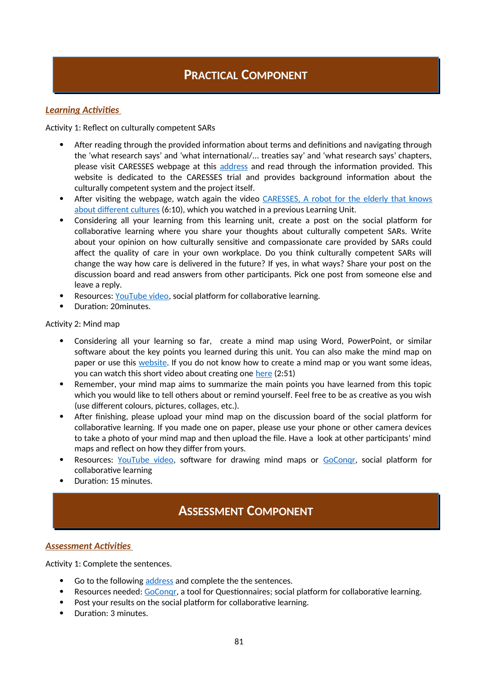## **PRACTICAL COMPONENT**

### *Learning Activities*

Activity 1: Reflect on culturally competent SARs

- After reading through the provided information about terms and definitions and navigating through the 'what research says' and 'what international/... treaties say' and 'what research says' chapters, please visit CARESSES webpage at this [address](http://caressesrobot.org/en/project/) and read through the information provided. This website is dedicated to the CARESSES trial and provides background information about the culturally competent system and the project itself.
- After visiting the webpage, watch again the video [CARESSES, A robot for the elderly that knows](https://www.youtube.com/watch?v=0at2oZt_rag&ab_channel=CARESSES-CulturallyAwareRobots) [about different cultures](https://www.youtube.com/watch?v=0at2oZt_rag&ab_channel=CARESSES-CulturallyAwareRobots) (6:10), which you watched in a previous Learning Unit.
- Considering all your learning from this learning unit, create a post on the social platform for collaborative learning where you share your thoughts about culturally competent SARs. Write about your opinion on how culturally sensitive and compassionate care provided by SARs could affect the quality of care in your own workplace. Do you think culturally competent SARs will change the way how care is delivered in the future? If yes, in what ways? Share your post on the discussion board and read answers from other participants. Pick one post from someone else and leave a reply.
- Resources: [YouTube video](https://www.youtube.com/watch?v=0at2oZt_rag&ab_channel=CARESSES-CulturallyAwareRobots), social platform for collaborative learning.
- Duration: 20minutes.

Activity 2: Mind map

- Considering all your learning so far, create a mind map using Word, PowerPoint, or similar software about the key points you learned during this unit. You can also make the mind map on paper or use this [website.](https://www.goconqr.com/en/mind-maps/) If you do not know how to create a mind map or you want some ideas, you can watch this short video about creating one [here](https://www.youtube.com/watch?v=wLWV0XN7K1g&ab_channel=SusanGregory) (2:51)
- Remember, your mind map aims to summarize the main points you have learned from this topic which you would like to tell others about or remind yourself. Feel free to be as creative as you wish (use different colours, pictures, collages, etc.).
- After finishing, please upload your mind map on the discussion board of the social platform for collaborative learning. If you made one on paper, please use your phone or other camera devices to take a photo of your mind map and then upload the file. Have a look at other participants' mind maps and reflect on how they differ from yours.
- Resources: [YouTube video](https://www.youtube.com/watch?v=wLWV0XN7K1g&ab_channel=SusanGregory), software for drawing mind maps or [GoConqr,](https://www.goconqr.com/en/mind-maps/) social platform for collaborative learning
- Duration: 15 minutes.

## **ASSESSMENT COMPONENT**

### *Assessment Activities*

Activity 1: Complete the sentences.

- Go to the following [address](https://www.goconqr.com/en-US/quiz/36798226/iene-10-learning-unit-3-4-assessment) and complete the the sentences.
- Resources needed: [GoConqr,](https://www.goconqr.com/) a tool for Questionnaires; social platform for collaborative learning.
- Post your results on the social platform for collaborative learning.
- Duration: 3 minutes.